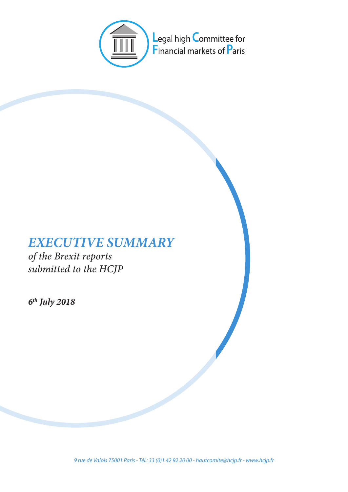

# *EXECUTIVE SUMMARY*

*of the Brexit reports submitted to the HCJP*

*6th July 2018*

*9 rue de Valois 75001 Paris - Tél.: 33 (0)1 42 92 20 00 - hautcomite@hcjp.fr - www.hcjp.fr*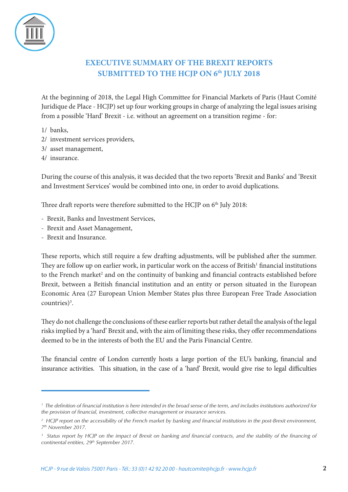

## **EXECUTIVE SUMMARY OF THE BREXIT REPORTS SUBMITTED TO THE HCJP ON 6th JULY 2018**

At the beginning of 2018, the Legal High Committee for Financial Markets of Paris (Haut Comité Juridique de Place - HCJP) set up four working groups in charge of analyzing the legal issues arising from a possible 'Hard' Brexit - i.e. without an agreement on a transition regime - for:

- 1/ banks,
- 2/ investment services providers,
- 3/ asset management,
- 4/ insurance.

During the course of this analysis, it was decided that the two reports 'Brexit and Banks' and 'Brexit and Investment Services' would be combined into one, in order to avoid duplications.

Three draft reports were therefore submitted to the HCJP on 6<sup>th</sup> July 2018:

- Brexit, Banks and Investment Services,
- Brexit and Asset Management,
- Brexit and Insurance.

These reports, which still require a few drafting adjustments, will be published after the summer. They are follow up on earlier work, in particular work on the access of British $^{\scriptscriptstyle 1}$  financial institutions to the French market<sup>2</sup> and on the continuity of banking and financial contracts established before Brexit, between a British financial institution and an entity or person situated in the European Economic Area (27 European Union Member States plus three European Free Trade Association countries)<sup>3</sup>.

They do not challenge the conclusions of these earlier reports but rather detail the analysis of the legal risks implied by a 'hard' Brexit and, with the aim of limiting these risks, they offer recommendations deemed to be in the interests of both the EU and the Paris Financial Centre.

The financial centre of London currently hosts a large portion of the EU's banking, financial and insurance activities. This situation, in the case of a 'hard' Brexit, would give rise to legal difficulties

*<sup>1</sup> The definition of financial institution is here intended in the broad sense of the term, and includes institutions authorized for the provision of financial, investment, collective management or insurance services.*

*<sup>2</sup> HCJP report on the accessibility of the French market by banking and financial institutions in the post-Brexit environment, 7th November 2017.*

<sup>&</sup>lt;sup>3</sup> Status report by HCJP on the impact of Brexit on banking and financial contracts, and the stability of the financing of *continental entities, 29th September 2017.*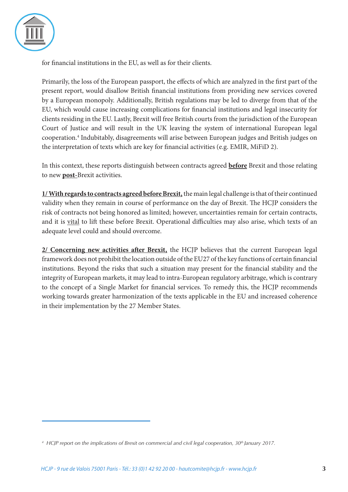

for financial institutions in the EU, as well as for their clients.

Primarily, the loss of the European passport, the effects of which are analyzed in the first part of the present report, would disallow British financial institutions from providing new services covered by a European monopoly. Additionally, British regulations may be led to diverge from that of the EU, which would cause increasing complications for financial institutions and legal insecurity for clients residing in the EU. Lastly, Brexit will free British courts from the jurisdiction of the European Court of Justice and will result in the UK leaving the system of international European legal cooperation.4 Indubitably, disagreements will arise between European judges and British judges on the interpretation of texts which are key for financial activities (e.g. EMIR, MiFiD 2).

In this context, these reports distinguish between contracts agreed **before** Brexit and those relating to new **post-**Brexit activities.

**1/ With regards to contracts agreed before Brexit,** the main legal challenge is that of their continued validity when they remain in course of performance on the day of Brexit. The HCJP considers the risk of contracts not being honored as limited; however, uncertainties remain for certain contracts, and it is vital to lift these before Brexit. Operational difficulties may also arise, which texts of an adequate level could and should overcome.

**2/ Concerning new activities after Brexit,** the HCJP believes that the current European legal framework does not prohibit the location outside of the EU27 of the key functions of certain financial institutions. Beyond the risks that such a situation may present for the financial stability and the integrity of European markets, it may lead to intra-European regulatory arbitrage, which is contrary to the concept of a Single Market for financial services. To remedy this, the HCJP recommends working towards greater harmonization of the texts applicable in the EU and increased coherence in their implementation by the 27 Member States.

*<sup>4</sup> HCJP report on the implications of Brexit on commercial and civil legal cooperation, 30th January 2017.*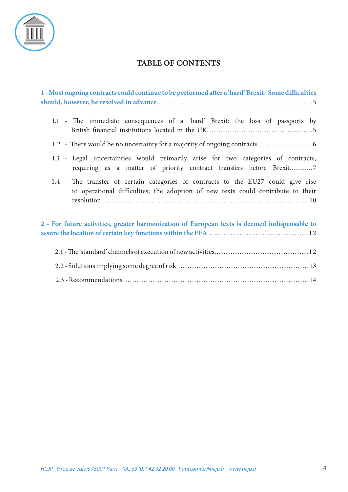

### **TABLE OF CONTENTS**

| 1 - Most ongoing contracts could continue to be performed after a 'hard' Brexit. Some difficulties                                                                    |
|-----------------------------------------------------------------------------------------------------------------------------------------------------------------------|
| 1.1 - The immediate consequences of a 'hard' Brexit: the loss of passports by                                                                                         |
|                                                                                                                                                                       |
| 1.3 - Legal uncertainties would primarily arise for two categories of contracts,<br>requiring as a matter of priority contract transfers before Brexit7               |
| 1.4 - The transfer of certain categories of contracts to the EU27 could give rise<br>to operational difficulties; the adoption of new texts could contribute to their |
| 2 - For future activities, greater harmonization of European texts is deemed indispensable to                                                                         |
|                                                                                                                                                                       |
|                                                                                                                                                                       |
|                                                                                                                                                                       |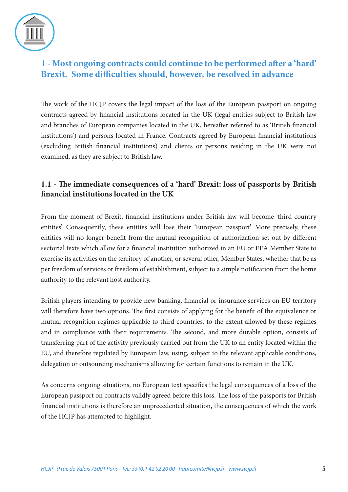

# **1 - Most ongoing contracts could continue to be performed after a 'hard' Brexit. Some difficulties should, however, be resolved in advance**

The work of the HCJP covers the legal impact of the loss of the European passport on ongoing contracts agreed by financial institutions located in the UK (legal entities subject to British law and branches of European companies located in the UK, hereafter referred to as 'British financial institutions') and persons located in France. Contracts agreed by European financial institutions (excluding British financial institutions) and clients or persons residing in the UK were not examined, as they are subject to British law.

### **1.1 - The immediate consequences of a 'hard' Brexit: loss of passports by British financial institutions located in the UK**

From the moment of Brexit, financial institutions under British law will become 'third country entities'. Consequently, these entities will lose their 'European passport'. More precisely, these entities will no longer benefit from the mutual recognition of authorization set out by different sectorial texts which allow for a financial institution authorized in an EU or EEA Member State to exercise its activities on the territory of another, or several other, Member States, whether that be as per freedom of services or freedom of establishment, subject to a simple notification from the home authority to the relevant host authority.

British players intending to provide new banking, financial or insurance services on EU territory will therefore have two options. The first consists of applying for the benefit of the equivalence or mutual recognition regimes applicable to third countries, to the extent allowed by these regimes and in compliance with their requirements. The second, and more durable option, consists of transferring part of the activity previously carried out from the UK to an entity located within the EU, and therefore regulated by European law, using, subject to the relevant applicable conditions, delegation or outsourcing mechanisms allowing for certain functions to remain in the UK.

As concerns ongoing situations, no European text specifies the legal consequences of a loss of the European passport on contracts validly agreed before this loss. The loss of the passports for British financial institutions is therefore an unprecedented situation, the consequences of which the work of the HCJP has attempted to highlight.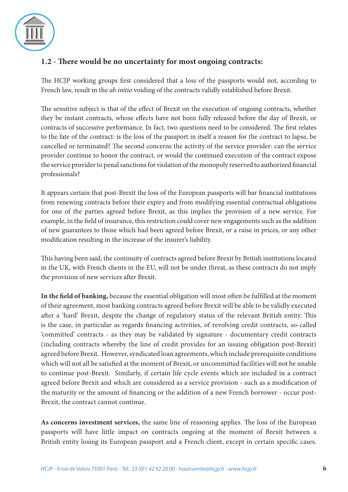

### **1.2 - There would be no uncertainty for most ongoing contracts:**

The HCJP working groups first considered that a loss of the passports would not, according to French law, result in the *ab initio* voiding of the contracts validly established before Brexit.

The sensitive subject is that of the effect of Brexit on the execution of ongoing contracts, whether they be instant contracts, whose effects have not been fully released before the day of Brexit, or contracts of successive performance. In fact, two questions need to be considered. The first relates to the fate of the contract: is the loss of the passport in itself a reason for the contract to lapse, be cancelled or terminated? The second concerns the activity of the service provider: can the service provider continue to honor the contract, or would the continued execution of the contract expose the service provider to penal sanctions for violation of the monopoly reserved to authorized financial professionals?

It appears certain that post-Brexit the loss of the European passports will bar financial institutions from renewing contracts before their expiry and from modifying essential contractual obligations for one of the parties agreed before Brexit, as this implies the provision of a new service. For example, in the field of insurance, this restriction could cover new engagements such as the addition of new guarantees to those which had been agreed before Brexit, or a raise in prices, or any other modification resulting in the increase of the insurer's liability.

This having been said, the continuity of contracts agreed before Brexit by British institutions located in the UK, with French clients in the EU, will not be under threat, as these contracts do not imply the provision of new services after Brexit.

**In the field of banking,** because the essential obligation will most often be fulfilled at the moment of their agreement, most banking contracts agreed before Brexit will be able to be validly executed after a 'hard' Brexit, despite the change of regulatory status of the relevant British entity. This is the case, in particular as regards financing activities, of revolving credit contracts, so-called 'committed' contracts - as they may be validated by signature - documentary credit contracts (including contracts whereby the line of credit provides for an issuing obligation post-Brexit) agreed before Brexit. However, syndicated loan agreements, which include prerequisite conditions which will not all be satisfied at the moment of Brexit, or uncommitted facilities will not be unable to continue post-Brexit. Similarly, if certain life cycle events which are included in a contract agreed before Brexit and which are considered as a service provision - such as a modification of the maturity or the amount of financing or the addition of a new French borrower - occur post-Brexit, the contract cannot continue.

**As concerns investment services,** the same line of reasoning applies. The loss of the European passports will have little impact on contracts ongoing at the moment of Brexit between a British entity losing its European passport and a French client, except in certain specific cases.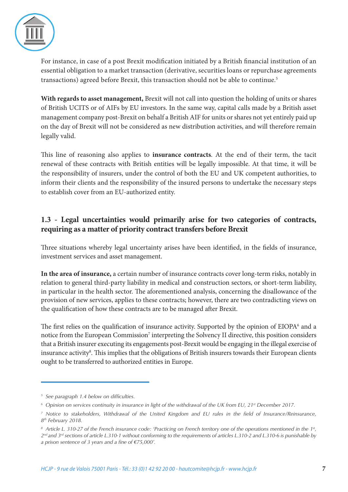

For instance, in case of a post Brexit modification initiated by a British financial institution of an essential obligation to a market transaction (derivative, securities loans or repurchase agreements transactions) agreed before Brexit, this transaction should not be able to continue.5

**With regards to asset management,** Brexit will not call into question the holding of units or shares of British UCITS or of AIFs by EU investors. In the same way, capital calls made by a British asset management company post-Brexit on behalf a British AIF for units or shares not yet entirely paid up on the day of Brexit will not be considered as new distribution activities, and will therefore remain legally valid.

This line of reasoning also applies to **insurance contracts**. At the end of their term, the tacit renewal of these contracts with British entities will be legally impossible. At that time, it will be the responsibility of insurers, under the control of both the EU and UK competent authorities, to inform their clients and the responsibility of the insured persons to undertake the necessary steps to establish cover from an EU-authorized entity.

### **1.3 - Legal uncertainties would primarily arise for two categories of contracts, requiring as a matter of priority contract transfers before Brexit**

Three situations whereby legal uncertainty arises have been identified, in the fields of insurance, investment services and asset management.

**In the area of insurance,** a certain number of insurance contracts cover long-term risks, notably in relation to general third-party liability in medical and construction sectors, or short-term liability, in particular in the health sector. The aforementioned analysis, concerning the disallowance of the provision of new services, applies to these contracts; however, there are two contradicting views on the qualification of how these contracts are to be managed after Brexit.

The first relies on the qualification of insurance activity. Supported by the opinion of EIOPA<sup>6</sup> and a notice from the European Commission<sup>7</sup> interpreting the Solvency II directive, this position considers that a British insurer executing its engagements post-Brexit would be engaging in the illegal exercise of insurance activity<sup>8</sup>. This implies that the obligations of British insurers towards their European clients ought to be transferred to authorized entities in Europe.

*<sup>5</sup> See paragraph 1.4 below on difficulties.*

*<sup>6</sup> Opinion on services continuity in insurance in light of the withdrawal of the UK from EU, 21st December 2017.*

*<sup>7</sup> Notice to stakeholders, Withdrawal of the United Kingdom and EU rules in the field of Insurance/Reinsurance, 8th February 2018.*

<sup>&</sup>lt;sup>8</sup> Article L. 310-27 of the French insurance code: 'Practicing on French territory one of the operations mentioned in the 1st, *2nd and 3rd sections of article L.310-1 without conforming to the requirements of articles L.310-2 and L.310-6 is punishable by a prison sentence of 3 years and a fine of €75,000'.*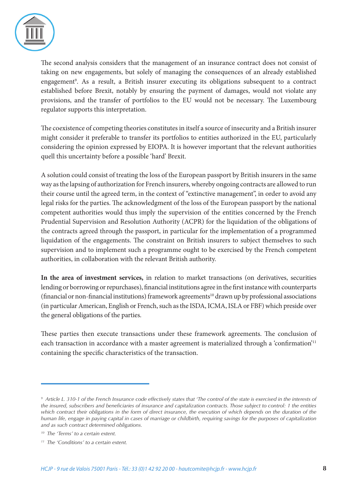

The second analysis considers that the management of an insurance contract does not consist of taking on new engagements, but solely of managing the consequences of an already established engagement<sup>9</sup>. As a result, a British insurer executing its obligations subsequent to a contract established before Brexit, notably by ensuring the payment of damages, would not violate any provisions, and the transfer of portfolios to the EU would not be necessary. The Luxembourg regulator supports this interpretation.

The coexistence of competing theories constitutes in itself a source of insecurity and a British insurer might consider it preferable to transfer its portfolios to entities authorized in the EU, particularly considering the opinion expressed by EIOPA. It is however important that the relevant authorities quell this uncertainty before a possible 'hard' Brexit.

A solution could consist of treating the loss of the European passport by British insurers in the same way as the lapsing of authorization for French insurers, whereby ongoing contracts are allowed to run their course until the agreed term, in the context of "extinctive management", in order to avoid any legal risks for the parties. The acknowledgment of the loss of the European passport by the national competent authorities would thus imply the supervision of the entities concerned by the French Prudential Supervision and Resolution Authority (ACPR) for the liquidation of the obligations of the contracts agreed through the passport, in particular for the implementation of a programmed liquidation of the engagements. The constraint on British insurers to subject themselves to such supervision and to implement such a programme ought to be exercised by the French competent authorities, in collaboration with the relevant British authority.

**In the area of investment services,** in relation to market transactions (on derivatives, securities lending or borrowing or repurchases), financial institutions agree in the first instance with counterparts (financial or non-financial institutions) framework agreements<sup>10</sup> drawn up by professional associations (in particular American, English or French, such as the ISDA, ICMA, ISLA or FBF) which preside over the general obligations of the parties.

These parties then execute transactions under these framework agreements. The conclusion of each transaction in accordance with a master agreement is materialized through a 'confirmation'11 containing the specific characteristics of the transaction.

*<sup>9</sup> Article L. 310-1 of the French Insurance code effectively states that 'The control of the state is exercised in the interests of the insured, subscribers and beneficiaries of insurance and capitalization contracts. Those subject to control: 1 the entities which contract their obligations in the form of direct insurance, the execution of which depends on the duration of the human life, engage in paying capital in cases of marriage or childbirth, requiring savings for the purposes of capitalization and as such contract determined obligations.*

*<sup>10</sup> The 'Terms' to a certain extent.*

*<sup>11</sup> The 'Conditions' to a certain extent.*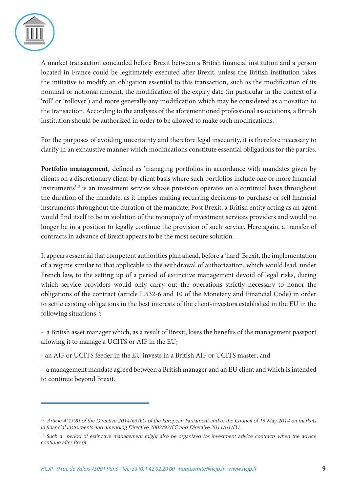

A market transaction concluded before Brexit between a British financial institution and a person located in France could be legitimately executed after Brexit, unless the British institution takes the initiative to modify an obligation essential to this transaction, such as the modification of its nominal or notional amount, the modification of the expiry date (in particular in the context of a 'roll' or 'rollover') and more generally any modification which may be considered as a novation to the transaction. According to the analyses of the aforementioned professional associations, a British institution should be authorized in order to be allowed to make such modifications.

For the purposes of avoiding uncertainty and therefore legal insecurity, it is therefore necessary to clarify in an exhaustive manner which modifications constitute essential obligations for the parties.

**Portfolio management,** defined as 'managing portfolios in accordance with mandates given by clients on a discretionary client-by-client basis where such portfolios include one or more financial instruments'12 is an investment service whose provision operates on a continual basis throughout the duration of the mandate, as it implies making recurring decisions to purchase or sell financial instruments throughout the duration of the mandate. Post Brexit, a British entity acting as an agent would find itself to be in violation of the monopoly of investment services providers and would no longer be in a position to legally continue the provision of such service. Here again, a transfer of contracts in advance of Brexit appears to be the most secure solution.

It appears essential that competent authorities plan ahead, before a 'hard' Brexit, the implementation of a regime similar to that applicable to the withdrawal of authorization, which would lead, under French law, to the setting up of a period of extinctive management devoid of legal risks, during which service providers would only carry out the operations strictly necessary to honor the obligations of the contract (article L.532-6 and 10 of the Monetary and Financial Code) in order to settle existing obligations in the best interests of the client-investors established in the EU in the following situations $13$ :

- a British asset manager which, as a result of Brexit, loses the benefits of the management passport allowing it to manage a UCITS or AIF in the EU;

- an AIF or UCITS feeder in the EU invests in a British AIF or UCITS master; and

- a management mandate agreed between a British manager and an EU client and which is intended to continue beyond Brexit.

*<sup>12</sup> Article 4(1)(8) of the Directive 2014/65/EU of the European Parliament and of the Council of 15 May 2014 on markets in financial instruments and amending Directive 2002/92/EC and Directive 2011/61/EU.* 

*<sup>13</sup> Such a period of extinctive management might also be organized for investment advice contracts when the advice continue after Brexit.*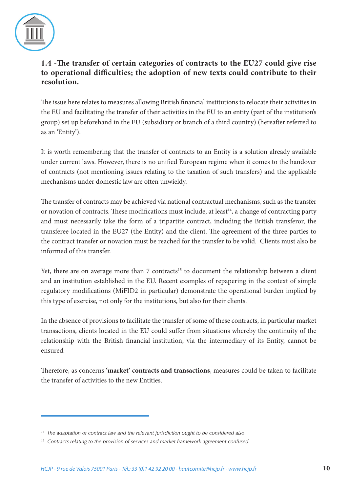

### **1.4 -The transfer of certain categories of contracts to the EU27 could give rise to operational difficulties; the adoption of new texts could contribute to their resolution.**

The issue here relates to measures allowing British financial institutions to relocate their activities in the EU and facilitating the transfer of their activities in the EU to an entity (part of the institution's group) set up beforehand in the EU (subsidiary or branch of a third country) (hereafter referred to as an 'Entity').

It is worth remembering that the transfer of contracts to an Entity is a solution already available under current laws. However, there is no unified European regime when it comes to the handover of contracts (not mentioning issues relating to the taxation of such transfers) and the applicable mechanisms under domestic law are often unwieldy.

The transfer of contracts may be achieved via national contractual mechanisms, such as the transfer or novation of contracts. These modifications must include, at least<sup>14</sup>, a change of contracting party and must necessarily take the form of a tripartite contract, including the British transferor, the transferee located in the EU27 (the Entity) and the client. The agreement of the three parties to the contract transfer or novation must be reached for the transfer to be valid. Clients must also be informed of this transfer.

Yet, there are on average more than 7 contracts<sup>15</sup> to document the relationship between a client and an institution established in the EU. Recent examples of repapering in the context of simple regulatory modifications (MiFID2 in particular) demonstrate the operational burden implied by this type of exercise, not only for the institutions, but also for their clients.

In the absence of provisions to facilitate the transfer of some of these contracts, in particular market transactions, clients located in the EU could suffer from situations whereby the continuity of the relationship with the British financial institution, via the intermediary of its Entity, cannot be ensured.

Therefore, as concerns **'market' contracts and transactions**, measures could be taken to facilitate the transfer of activities to the new Entities.

*<sup>14</sup> The adaptation of contract law and the relevant jurisdiction ought to be considered also.*

*<sup>15</sup> Contracts relating to the provision of services and market framework agreement confused.*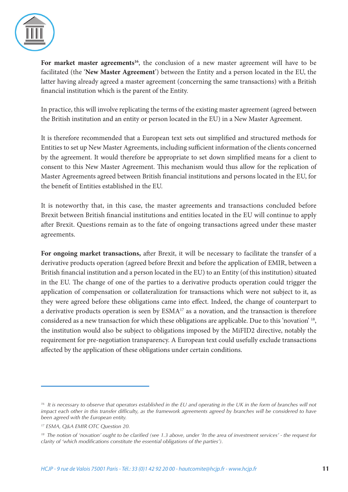

For market master agreements<sup>16</sup>, the conclusion of a new master agreement will have to be facilitated (the '**New Master Agreement**') between the Entity and a person located in the EU, the latter having already agreed a master agreement (concerning the same transactions) with a British financial institution which is the parent of the Entity.

In practice, this will involve replicating the terms of the existing master agreement (agreed between the British institution and an entity or person located in the EU) in a New Master Agreement.

It is therefore recommended that a European text sets out simplified and structured methods for Entities to set up New Master Agreements, including sufficient information of the clients concerned by the agreement. It would therefore be appropriate to set down simplified means for a client to consent to this New Master Agreement. This mechanism would thus allow for the replication of Master Agreements agreed between British financial institutions and persons located in the EU, for the benefit of Entities established in the EU.

It is noteworthy that, in this case, the master agreements and transactions concluded before Brexit between British financial institutions and entities located in the EU will continue to apply after Brexit. Questions remain as to the fate of ongoing transactions agreed under these master agreements.

**For ongoing market transactions,** after Brexit, it will be necessary to facilitate the transfer of a derivative products operation (agreed before Brexit and before the application of EMIR, between a British financial institution and a person located in the EU) to an Entity (of this institution) situated in the EU. The change of one of the parties to a derivative products operation could trigger the application of compensation or collateralization for transactions which were not subject to it, as they were agreed before these obligations came into effect. Indeed, the change of counterpart to a derivative products operation is seen by ESMA<sup>17</sup> as a novation, and the transaction is therefore considered as a new transaction for which these obligations are applicable. Due to this 'novation' 18, the institution would also be subject to obligations imposed by the MiFID2 directive, notably the requirement for pre-negotiation transparency. A European text could usefully exclude transactions affected by the application of these obligations under certain conditions.

*<sup>16</sup> It is necessary to observe that operators established in the EU and operating in the UK in the form of branches will not impact each other in this transfer difficulty, as the framework agreements agreed by branches will be considered to have been agreed with the European entity.*

*<sup>17</sup> ESMA, Q&A EMIR OTC Question 20.*

*<sup>18</sup> The notion of 'novation' ought to be clarified (see 1.3 above, under 'In the area of investment services' - the request for clarity of 'which modifications constitute the essential obligations of the parties').*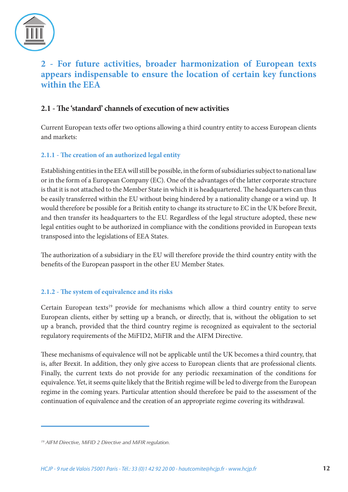

# **2 - For future activities, broader harmonization of European texts appears indispensable to ensure the location of certain key functions within the EEA**

### **2.1 - The 'standard' channels of execution of new activities**

Current European texts offer two options allowing a third country entity to access European clients and markets:

### **2.1.1 - The creation of an authorized legal entity**

Establishing entities in the EEA will still be possible, in the form of subsidiaries subject to national law or in the form of a European Company (EC). One of the advantages of the latter corporate structure is that it is not attached to the Member State in which it is headquartered. The headquarters can thus be easily transferred within the EU without being hindered by a nationality change or a wind up. It would therefore be possible for a British entity to change its structure to EC in the UK before Brexit, and then transfer its headquarters to the EU. Regardless of the legal structure adopted, these new legal entities ought to be authorized in compliance with the conditions provided in European texts transposed into the legislations of EEA States.

The authorization of a subsidiary in the EU will therefore provide the third country entity with the benefits of the European passport in the other EU Member States.

### **2.1.2 - The system of equivalence and its risks**

Certain European texts<sup>19</sup> provide for mechanisms which allow a third country entity to serve European clients, either by setting up a branch, or directly, that is, without the obligation to set up a branch, provided that the third country regime is recognized as equivalent to the sectorial regulatory requirements of the MiFID2, MiFIR and the AIFM Directive.

These mechanisms of equivalence will not be applicable until the UK becomes a third country, that is, after Brexit. In addition, they only give access to European clients that are professional clients. Finally, the current texts do not provide for any periodic reexamination of the conditions for equivalence. Yet, it seems quite likely that the British regime will be led to diverge from the European regime in the coming years. Particular attention should therefore be paid to the assessment of the continuation of equivalence and the creation of an appropriate regime covering its withdrawal.

*<sup>19</sup> AIFM Directive, MiFID 2 Directive and MiFIR regulation.*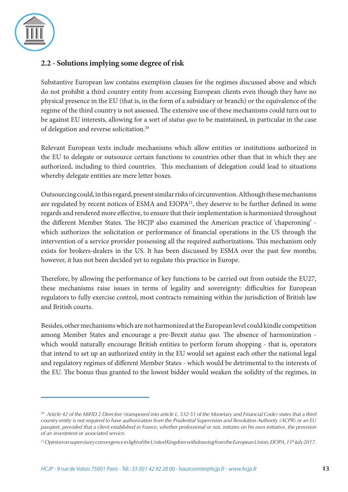

### **2.2 - Solutions implying some degree of risk**

Substantive European law contains exemption clauses for the regimes discussed above and which do not prohibit a third country entity from accessing European clients even though they have no physical presence in the EU (that is, in the form of a subsidiary or branch) or the equivalence of the regime of the third country is not assessed. The extensive use of these mechanisms could turn out to be against EU interests, allowing for a sort of *status quo* to be maintained, in particular in the case of delegation and reverse solicitation.20

Relevant European texts include mechanisms which allow entities or institutions authorized in the EU to delegate or outsource certain functions to countries other than that in which they are authorized, including to third countries. This mechanism of delegation could lead to situations whereby delegate entities are mere letter boxes.

Outsourcing could, in this regard, present similar risks of circumvention. Although these mechanisms are regulated by recent notices of ESMA and EIOPA<sup>21</sup>, they deserve to be further defined in some regards and rendered more effective, to ensure that their implementation is harmonized throughout the different Member States. The HCJP also examined the American practice of 'chaperoning' which authorizes the solicitation or performance of financial operations in the US through the intervention of a service provider possessing all the required authorizations. This mechanism only exists for brokers-dealers in the US. It has been discussed by ESMA over the past few months; however, it has not been decided yet to regulate this practice in Europe.

Therefore, by allowing the performance of key functions to be carried out from outside the EU27, these mechanisms raise issues in terms of legality and sovereignty: difficulties for European regulators to fully exercise control, most contracts remaining within the jurisdiction of British law and British courts.

Besides, other mechanisms which are not harmonized at the European level could kindle competition among Member States and encourage a pre-Brexit *status quo*. The absence of harmonization which would naturally encourage British entities to perform forum shopping - that is, operators that intend to set up an authorized entity in the EU would set against each other the national legal and regulatory regimes of different Member States - which would be detrimental to the interests of the EU. The bonus thus granted to the lowest bidder would weaken the solidity of the regimes, in

*<sup>20</sup> Article 42 of the MiFID 2 Directive (transposed into article L. 532-51 of the Monetary and Financial Code) states that a third country entity is not required to have authorization from the Prudential Supervision and Resolution Authority (ACPR) or an EU passport, provided that a client established in France, whether professional or not, initiates on his own initiative, the provision of an investment or associated service.*

*<sup>21</sup> Opinion on supervisory convergence in light of the United Kingdom withdrawing from the European Union, EIOPA, 11th July 2017.*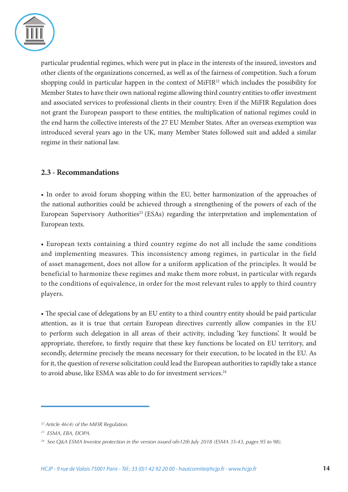

particular prudential regimes, which were put in place in the interests of the insured, investors and other clients of the organizations concerned, as well as of the fairness of competition. Such a forum shopping could in particular happen in the context of MiFIR<sup>22</sup> which includes the possibility for Member States to have their own national regime allowing third country entities to offer investment and associated services to professional clients in their country. Even if the MiFIR Regulation does not grant the European passport to these entities, the multiplication of national regimes could in the end harm the collective interests of the 27 EU Member States. After an overseas exemption was introduced several years ago in the UK, many Member States followed suit and added a similar regime in their national law.

#### **2.3 - Recommandations**

• In order to avoid forum shopping within the EU, better harmonization of the approaches of the national authorities could be achieved through a strengthening of the powers of each of the European Supervisory Authorities<sup>23</sup> (ESAs) regarding the interpretation and implementation of European texts.

• European texts containing a third country regime do not all include the same conditions and implementing measures. This inconsistency among regimes, in particular in the field of asset management, does not allow for a uniform application of the principles. It would be beneficial to harmonize these regimes and make them more robust, in particular with regards to the conditions of equivalence, in order for the most relevant rules to apply to third country players.

• The special case of delegations by an EU entity to a third country entity should be paid particular attention, as it is true that certain European directives currently allow companies in the EU to perform such delegation in all areas of their activity, including 'key functions'. It would be appropriate, therefore, to firstly require that these key functions be located on EU territory, and secondly, determine precisely the means necessary for their execution, to be located in the EU. As for it, the question of reverse solicitation could lead the European authorities to rapidly take a stance to avoid abuse, like ESMA was able to do for investment services.<sup>24</sup>

*<sup>22</sup> Article 46(4) of the MiFIR Regulation.*

*<sup>23</sup> ESMA, EBA, EIOPA.*

*<sup>24</sup> See Q&A ESMA Investor protection in the version issued ofn12th July 2018 (ESMA 35-43, pages 95 to 98).*